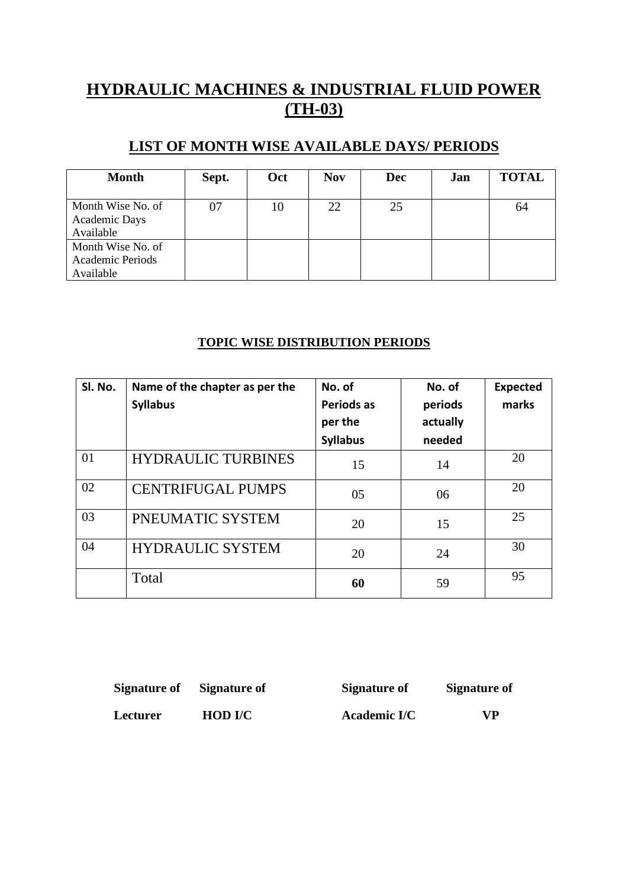## **HYDRAULIC MACHINES & INDUSTRIAL FLUID POWER (TH-03)**

#### **LIST OF MONTH WISE AVAILABLE DAYS/ PERIODS**

| <b>Month</b>                                       | Sept. | Oct | <b>Nov</b> | <b>Dec</b> | Jan | <b>TOTAL</b> |
|----------------------------------------------------|-------|-----|------------|------------|-----|--------------|
| Month Wise No. of<br>Academic Days<br>Available    | 07    | 10  | 22         | 25         |     | 64           |
| Month Wise No. of<br>Academic Periods<br>Available |       |     |            |            |     |              |

#### **TOPIC WISE DISTRIBUTION PERIODS**

| Sl. No. | Name of the chapter as per the<br><b>Syllabus</b> | No. of<br><b>Periods as</b><br>per the<br><b>Syllabus</b> | No. of<br>periods<br>actually<br>needed | <b>Expected</b><br>marks |
|---------|---------------------------------------------------|-----------------------------------------------------------|-----------------------------------------|--------------------------|
| 01      | <b>HYDRAULIC TURBINES</b>                         | 15                                                        | 14                                      | 20                       |
| 02      | <b>CENTRIFUGAL PUMPS</b>                          | 05                                                        | 06                                      | 20                       |
| 03      | PNEUMATIC SYSTEM                                  | 20                                                        | 15                                      | 25                       |
| 04      | <b>HYDRAULIC SYSTEM</b>                           | 20                                                        | 24                                      | 30                       |
|         | Total                                             | 60                                                        | 59                                      | 95                       |

| Signature of Signature of |                | Signature of | Signature of |
|---------------------------|----------------|--------------|--------------|
| <b>Lecturer</b>           | <b>HOD I/C</b> | Academic I/C | <b>VP</b>    |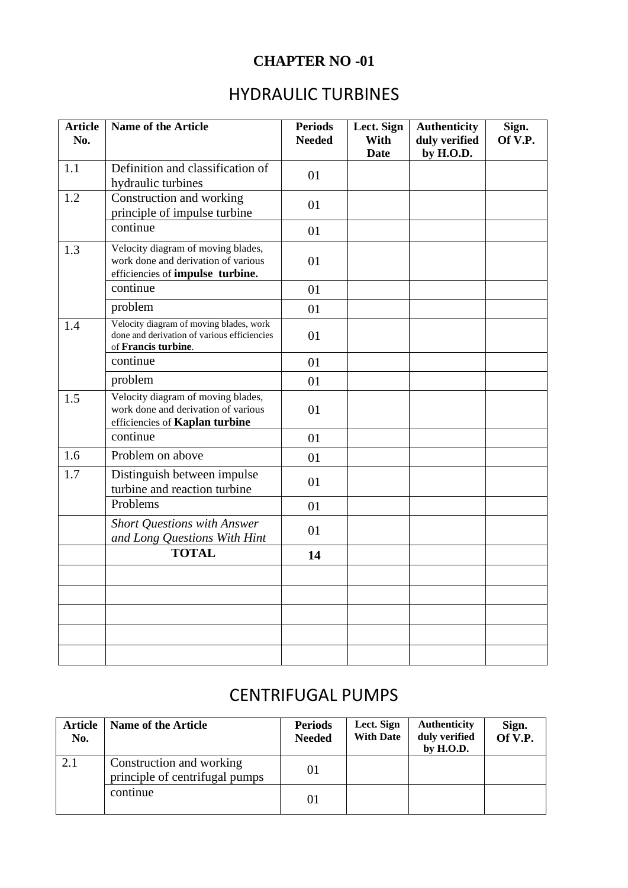### **CHAPTER NO -01**

## HYDRAULIC TURBINES

| <b>Article</b><br>No. | <b>Name of the Article</b>                                                                                    | <b>Periods</b><br><b>Needed</b> | Lect. Sign<br>With<br><b>Date</b> | <b>Authenticity</b><br>duly verified<br>by H.O.D. | Sign.<br>Of V.P. |
|-----------------------|---------------------------------------------------------------------------------------------------------------|---------------------------------|-----------------------------------|---------------------------------------------------|------------------|
| 1.1                   | Definition and classification of<br>hydraulic turbines                                                        | 01                              |                                   |                                                   |                  |
| 1.2                   | Construction and working<br>principle of impulse turbine                                                      | 01                              |                                   |                                                   |                  |
|                       | continue                                                                                                      | 01                              |                                   |                                                   |                  |
| 1.3                   | Velocity diagram of moving blades,<br>work done and derivation of various<br>efficiencies of impulse turbine. | 01                              |                                   |                                                   |                  |
|                       | continue                                                                                                      | 01                              |                                   |                                                   |                  |
|                       | problem                                                                                                       | 01                              |                                   |                                                   |                  |
| 1.4                   | Velocity diagram of moving blades, work<br>done and derivation of various efficiencies<br>of Francis turbine. | 01                              |                                   |                                                   |                  |
|                       | continue                                                                                                      | 01                              |                                   |                                                   |                  |
|                       | problem                                                                                                       | 01                              |                                   |                                                   |                  |
| 1.5                   | Velocity diagram of moving blades,<br>work done and derivation of various<br>efficiencies of Kaplan turbine   | 01                              |                                   |                                                   |                  |
|                       | continue                                                                                                      | 01                              |                                   |                                                   |                  |
| 1.6                   | Problem on above                                                                                              | 01                              |                                   |                                                   |                  |
| 1.7                   | Distinguish between impulse<br>turbine and reaction turbine                                                   | 01                              |                                   |                                                   |                  |
|                       | Problems                                                                                                      | 01                              |                                   |                                                   |                  |
|                       | <b>Short Questions with Answer</b><br>and Long Questions With Hint                                            | 01                              |                                   |                                                   |                  |
|                       | <b>TOTAL</b>                                                                                                  | 14                              |                                   |                                                   |                  |
|                       |                                                                                                               |                                 |                                   |                                                   |                  |
|                       |                                                                                                               |                                 |                                   |                                                   |                  |
|                       |                                                                                                               |                                 |                                   |                                                   |                  |
|                       |                                                                                                               |                                 |                                   |                                                   |                  |
|                       |                                                                                                               |                                 |                                   |                                                   |                  |

## CENTRIFUGAL PUMPS

| Article<br>No. | <b>Name of the Article</b>                                 | <b>Periods</b><br><b>Needed</b> | Lect. Sign<br><b>With Date</b> | <b>Authenticity</b><br>duly verified<br>by $H.O.D.$ | Sign.<br>Of V.P. |
|----------------|------------------------------------------------------------|---------------------------------|--------------------------------|-----------------------------------------------------|------------------|
| 2.1            | Construction and working<br>principle of centrifugal pumps | 01                              |                                |                                                     |                  |
|                | continue                                                   | 01                              |                                |                                                     |                  |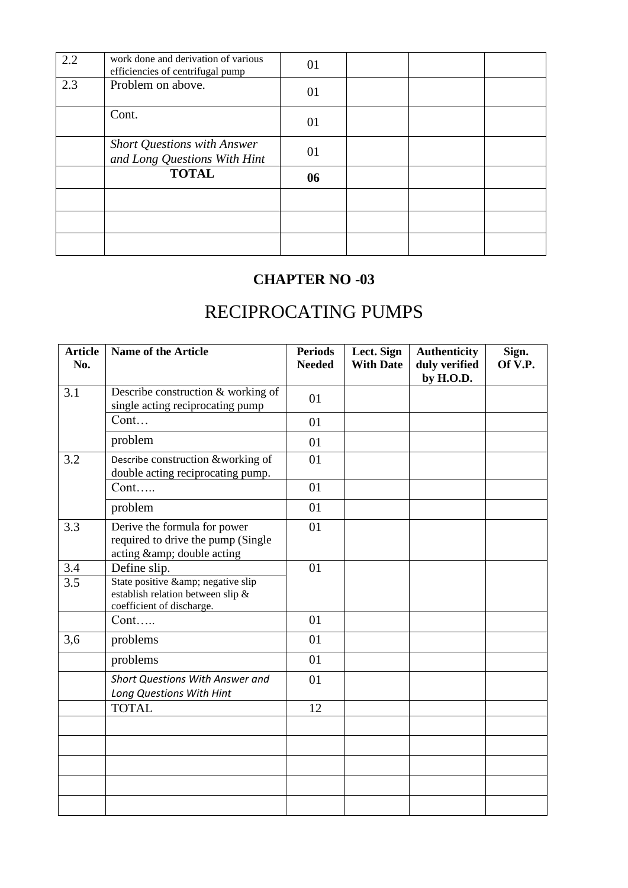| 2.2 | work done and derivation of various<br>efficiencies of centrifugal pump | 01 |  |  |
|-----|-------------------------------------------------------------------------|----|--|--|
| 2.3 | Problem on above.                                                       | 01 |  |  |
|     | Cont.                                                                   | 01 |  |  |
|     | <b>Short Questions with Answer</b><br>and Long Questions With Hint      | 01 |  |  |
|     | <b>TOTAL</b>                                                            | 06 |  |  |
|     |                                                                         |    |  |  |
|     |                                                                         |    |  |  |
|     |                                                                         |    |  |  |

#### **CHAPTER NO -03**

# RECIPROCATING PUMPS

| <b>Article</b><br>No. | <b>Name of the Article</b>                                                                       | <b>Periods</b><br><b>Needed</b> | Lect. Sign<br><b>With Date</b> | <b>Authenticity</b><br>duly verified<br>by H.O.D. | Sign.<br>Of V.P. |
|-----------------------|--------------------------------------------------------------------------------------------------|---------------------------------|--------------------------------|---------------------------------------------------|------------------|
| 3.1                   | Describe construction & working of<br>single acting reciprocating pump                           | 01                              |                                |                                                   |                  |
|                       | Cont                                                                                             | 01                              |                                |                                                   |                  |
|                       | problem                                                                                          | 01                              |                                |                                                   |                  |
| 3.2                   | Describe construction &working of<br>double acting reciprocating pump.                           | 01                              |                                |                                                   |                  |
|                       | $Cont. \ldots$                                                                                   | 01                              |                                |                                                   |                  |
|                       | problem                                                                                          | 01                              |                                |                                                   |                  |
| 3.3                   | Derive the formula for power<br>required to drive the pump (Single<br>acting & double acting     | 01                              |                                |                                                   |                  |
| 3.4                   | Define slip.                                                                                     | 01                              |                                |                                                   |                  |
| 3.5                   | State positive & negative slip<br>establish relation between slip &<br>coefficient of discharge. |                                 |                                |                                                   |                  |
|                       | Cont                                                                                             | 01                              |                                |                                                   |                  |
| 3,6                   | problems                                                                                         | 01                              |                                |                                                   |                  |
|                       | problems                                                                                         | 01                              |                                |                                                   |                  |
|                       | Short Questions With Answer and<br>Long Questions With Hint                                      | 01                              |                                |                                                   |                  |
|                       | <b>TOTAL</b>                                                                                     | 12                              |                                |                                                   |                  |
|                       |                                                                                                  |                                 |                                |                                                   |                  |
|                       |                                                                                                  |                                 |                                |                                                   |                  |
|                       |                                                                                                  |                                 |                                |                                                   |                  |
|                       |                                                                                                  |                                 |                                |                                                   |                  |
|                       |                                                                                                  |                                 |                                |                                                   |                  |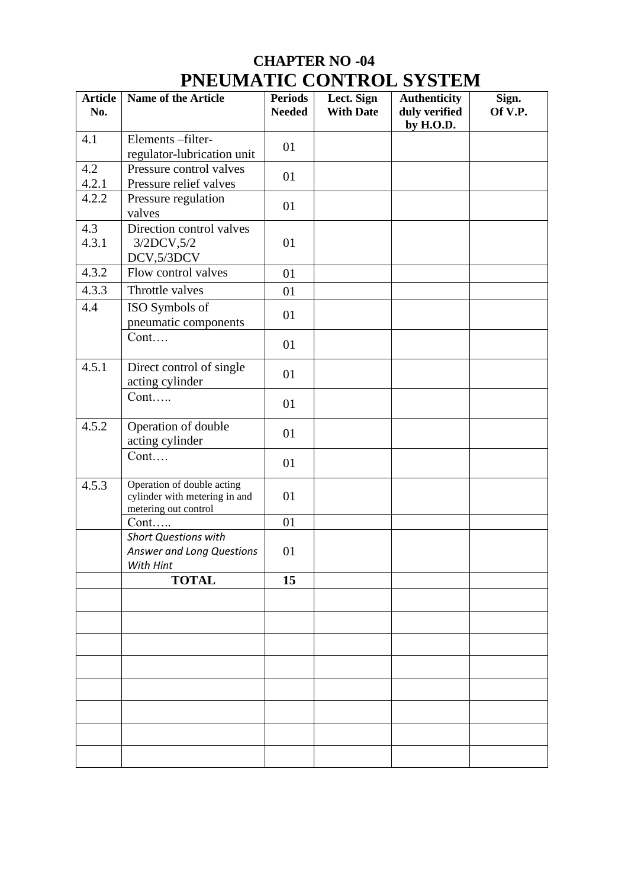## **CHAPTER NO -04 PNEUMATIC CONTROL SYSTEM**

| <b>Article</b><br>No. | <b>Name of the Article</b>                                                          | <b>Periods</b><br><b>Needed</b> | Lect. Sign<br><b>With Date</b> | <b>Authenticity</b><br>duly verified<br>by H.O.D. | Sign.<br>Of V.P. |
|-----------------------|-------------------------------------------------------------------------------------|---------------------------------|--------------------------------|---------------------------------------------------|------------------|
| 4.1                   | Elements-filter-<br>regulator-lubrication unit                                      | 01                              |                                |                                                   |                  |
| 4.2<br>4.2.1          | Pressure control valves<br>Pressure relief valves                                   | 01                              |                                |                                                   |                  |
| 4.2.2                 | Pressure regulation<br>valves                                                       | 01                              |                                |                                                   |                  |
| 4.3<br>4.3.1          | Direction control valves<br>3/2DCV, 5/2<br>DCV,5/3DCV                               | 01                              |                                |                                                   |                  |
| 4.3.2                 | Flow control valves                                                                 | 01                              |                                |                                                   |                  |
| 4.3.3                 | Throttle valves                                                                     | 01                              |                                |                                                   |                  |
| 4.4                   | ISO Symbols of<br>pneumatic components                                              | 01                              |                                |                                                   |                  |
|                       | Cont                                                                                | 01                              |                                |                                                   |                  |
| 4.5.1                 | Direct control of single<br>acting cylinder                                         | 01                              |                                |                                                   |                  |
|                       | Cont                                                                                | 01                              |                                |                                                   |                  |
| 4.5.2                 | Operation of double<br>acting cylinder                                              | 01                              |                                |                                                   |                  |
|                       | Cont                                                                                | 01                              |                                |                                                   |                  |
| 4.5.3                 | Operation of double acting<br>cylinder with metering in and<br>metering out control | 01                              |                                |                                                   |                  |
|                       | $Cont. \ldots$                                                                      | 01                              |                                |                                                   |                  |
|                       | <b>Short Questions with</b><br>Answer and Long Questions<br>With Hint               | 01                              |                                |                                                   |                  |
|                       | <b>TOTAL</b>                                                                        | 15                              |                                |                                                   |                  |
|                       |                                                                                     |                                 |                                |                                                   |                  |
|                       |                                                                                     |                                 |                                |                                                   |                  |
|                       |                                                                                     |                                 |                                |                                                   |                  |
|                       |                                                                                     |                                 |                                |                                                   |                  |
|                       |                                                                                     |                                 |                                |                                                   |                  |
|                       |                                                                                     |                                 |                                |                                                   |                  |
|                       |                                                                                     |                                 |                                |                                                   |                  |
|                       |                                                                                     |                                 |                                |                                                   |                  |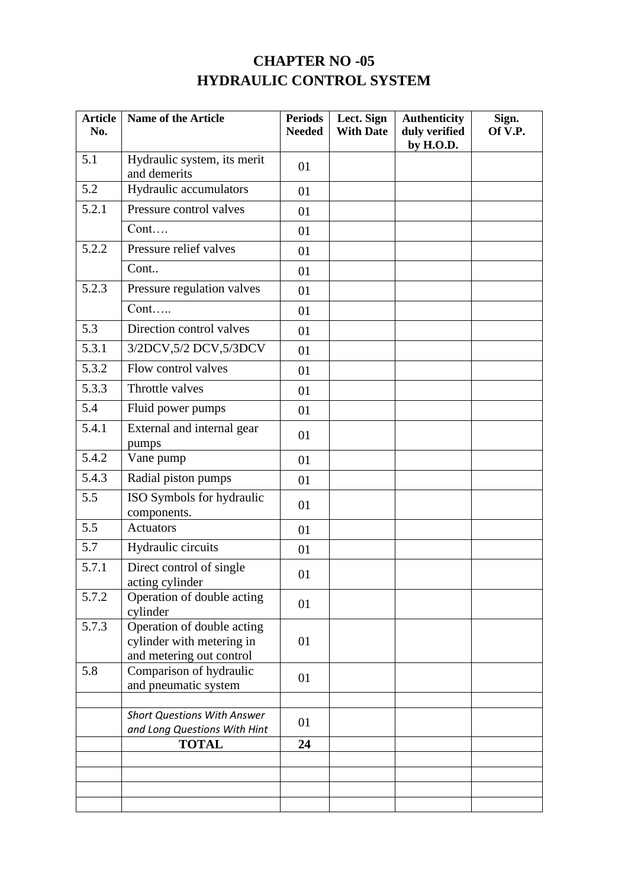### **CHAPTER NO -05 HYDRAULIC CONTROL SYSTEM**

| <b>Article</b><br>No. | <b>Name of the Article</b>                                                          | <b>Periods</b><br><b>Needed</b> | Lect. Sign<br><b>With Date</b> | <b>Authenticity</b><br>duly verified<br>by H.O.D. | Sign.<br>Of V.P. |
|-----------------------|-------------------------------------------------------------------------------------|---------------------------------|--------------------------------|---------------------------------------------------|------------------|
| 5.1                   | Hydraulic system, its merit<br>and demerits                                         | 01                              |                                |                                                   |                  |
| 5.2                   | Hydraulic accumulators                                                              | 01                              |                                |                                                   |                  |
| 5.2.1                 | Pressure control valves                                                             | 01                              |                                |                                                   |                  |
|                       | Cont                                                                                | 01                              |                                |                                                   |                  |
| 5.2.2                 | Pressure relief valves                                                              | 01                              |                                |                                                   |                  |
|                       | Cont                                                                                | 01                              |                                |                                                   |                  |
| 5.2.3                 | Pressure regulation valves                                                          | 01                              |                                |                                                   |                  |
|                       | Cont                                                                                | 01                              |                                |                                                   |                  |
| 5.3                   | Direction control valves                                                            | 01                              |                                |                                                   |                  |
| 5.3.1                 | 3/2DCV, 5/2 DCV, 5/3DCV                                                             | 01                              |                                |                                                   |                  |
| 5.3.2                 | Flow control valves                                                                 | 01                              |                                |                                                   |                  |
| 5.3.3                 | Throttle valves                                                                     | 01                              |                                |                                                   |                  |
| 5.4                   | Fluid power pumps                                                                   | 01                              |                                |                                                   |                  |
| 5.4.1                 | External and internal gear<br>pumps                                                 | 01                              |                                |                                                   |                  |
| 5.4.2                 | Vane pump                                                                           | 01                              |                                |                                                   |                  |
| 5.4.3                 | Radial piston pumps                                                                 | 01                              |                                |                                                   |                  |
| 5.5                   | ISO Symbols for hydraulic<br>components.                                            | 01                              |                                |                                                   |                  |
| 5.5                   | <b>Actuators</b>                                                                    | 01                              |                                |                                                   |                  |
| 5.7                   | Hydraulic circuits                                                                  | 01                              |                                |                                                   |                  |
| 5.7.1                 | Direct control of single<br>acting cylinder                                         | 01                              |                                |                                                   |                  |
| 5.7.2                 | Operation of double acting<br>cylinder                                              | 01                              |                                |                                                   |                  |
| 5.7.3                 | Operation of double acting<br>cylinder with metering in<br>and metering out control | 01                              |                                |                                                   |                  |
| 5.8                   | Comparison of hydraulic<br>and pneumatic system                                     | 01                              |                                |                                                   |                  |
|                       | <b>Short Questions With Answer</b><br>and Long Questions With Hint                  | 01                              |                                |                                                   |                  |
|                       | <b>TOTAL</b>                                                                        | 24                              |                                |                                                   |                  |
|                       |                                                                                     |                                 |                                |                                                   |                  |
|                       |                                                                                     |                                 |                                |                                                   |                  |
|                       |                                                                                     |                                 |                                |                                                   |                  |